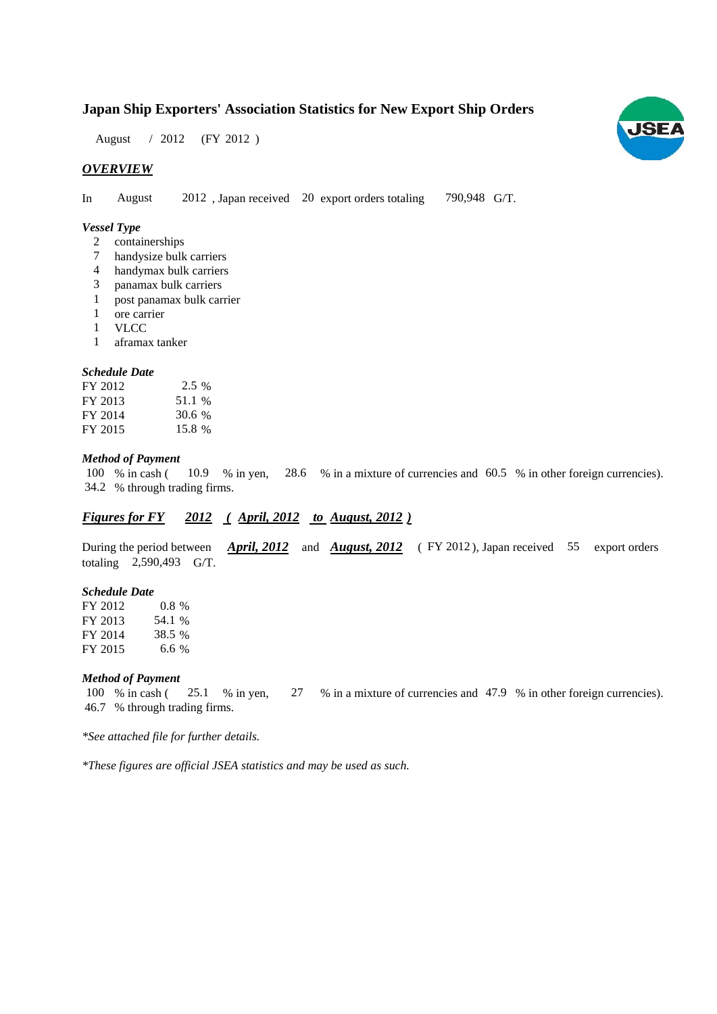# **Japan Ship Exporters' Association Statistics for New Export Ship Orders**

August / 2012 (FY 2012)

## *OVERVIEW*

In August 2012, Japan received 20 export orders totaling 790,948 G/T. August

### *Vessel Type*

- containerships 2
- handysize bulk carriers 7
- handymax bulk carriers 4
- panamax bulk carriers 3
- post panamax bulk carrier 1
- ore carrier 1
- VLCC 1
- aframax tanker 1

#### *Schedule Date*

| FY 2012 | $2.5\%$ |
|---------|---------|
| FY 2013 | 51.1 %  |
| FY 2014 | 30.6 %  |
| FY 2015 | 15.8 %  |

#### *Method of Payment*

% in cash ( $10.9$  % in yen,  $28.6$  % in a mixture of currencies and  $60.5$  % in other foreign currencies). % through trading firms. 34.2 10.9 % in yen, 100 % in cash (

## *Figures for FY* 2012 (*April, 2012 to August, 2012*)

During the period between *April, 2012* and *August, 2012* (FY 2012), Japan received 55 export orders totaling  $2,590,493$  G/T.

#### *Schedule Date*

FY 2012 FY 2013 FY 2014 FY 2015 0.8% 38.5 6.6 54.1

#### *Method of Payment*

% in cash ( $\frac{25.1}{8}$  in yen,  $\frac{27}{8}$  in a mixture of currencies and 47.9 % in other foreign currencies). % through trading firms. 46.7 100 % in cash (25.1 % in yen,

*\*See attached file for further details.*

*\*These figures are official JSEA statistics and may be used as such.*

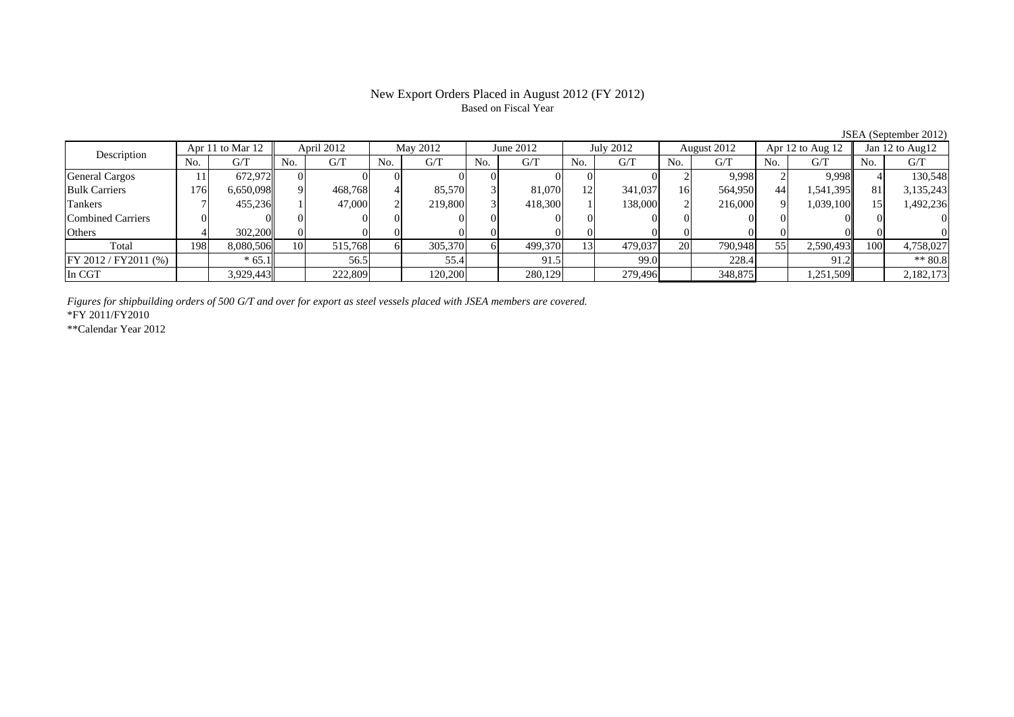# New Export Orders Placed in August 2012 (FY 2012) Based on Fiscal Year

|                       | $3.9$ Let $\lambda$ (be presence $2.91$ Let |                  |                 |            |     |          |     |           |     |           |     |             |     |                      |     |                 |
|-----------------------|---------------------------------------------|------------------|-----------------|------------|-----|----------|-----|-----------|-----|-----------|-----|-------------|-----|----------------------|-----|-----------------|
| Description           |                                             | Apr 11 to Mar 12 |                 | April 2012 |     | May 2012 |     | June 2012 |     | July 2012 |     | August 2012 |     | Apr $12$ to Aug $12$ |     | Jan 12 to Aug12 |
|                       | No.                                         | G/T              | No.             | G/T        | No. | G/T      | No. | G/T       | No. | G/T       | No. | G/T         | No. | G/T                  | No. | G/T             |
| <b>General Cargos</b> |                                             | 672.972          | $_{0}$          |            |     |          |     |           |     |           |     | 9,998       |     | 9.998                |     | 130,548         |
| <b>Bulk Carriers</b>  | 176                                         | 6,650,098        | $\Omega$        | 468,768    |     | 85.570   |     | 81,070    | 2   | 341,037   | 16  | 564,950     | 44  | 1,541,395            | 81  | 3,135,243       |
| Tankers               |                                             | 455.236          |                 | 47,000     |     | 219,800  |     | 418,300   |     | 138,000   |     | 216,000     | 91  | 1,039,100            |     | 1,492,236       |
| Combined Carriers     |                                             |                  |                 |            |     |          |     |           |     |           |     |             |     |                      |     |                 |
| Others                |                                             | 302,200          |                 |            |     |          |     |           |     |           |     |             |     |                      |     |                 |
| Total                 | 198                                         | 8,080,506        | 10 <sup>1</sup> | 515,768    |     | 305,370  |     | 499,370   | 131 | 479,037   | 20  | 790,948     | 55  | 2,590,493            | 100 | 4,758,027       |
| FY 2012 / FY 2011 (%) |                                             | $* 65.1$         |                 | 56.5       |     | 55.4     |     | 91.5      |     | 99.0      |     | 228.4       |     | 91.2 <sub>h</sub>    |     | $**80.8$        |
| In CGT                |                                             | 3,929,443        |                 | 222,809    |     | 120,200  |     | 280,129   |     | 279,496   |     | 348,875     |     | 1,251,509            |     | 2,182,173       |

*Figures for shipbuilding orders of 500 G/T and over for export as steel vessels placed with JSEA members are covered.*

\*FY 2011/FY2010

\*\*Calendar Year 2012

JSEA (September 2012)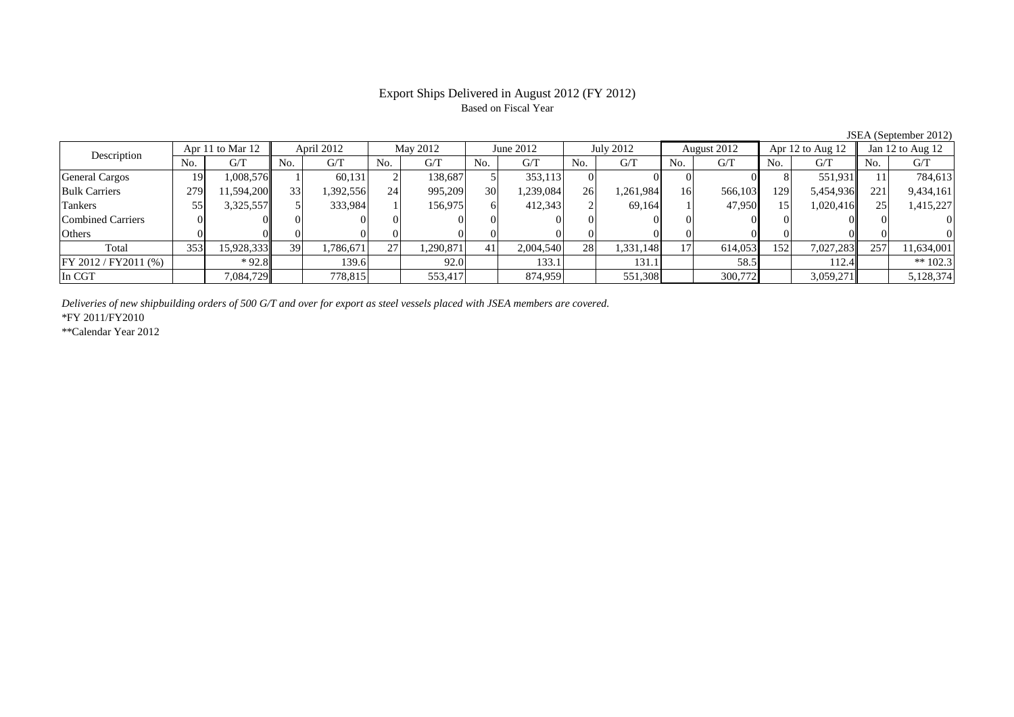# Export Ships Delivered in August 2012 (FY 2012) Based on Fiscal Year

| Apr 11 to Mar 12         |     | April 2012 |     | May 2012 |     | June 2012 |     | July 2012 |     | August 2012 |     | Apr 12 to Aug 12 |     | Jan 12 to Aug 12 |     |            |
|--------------------------|-----|------------|-----|----------|-----|-----------|-----|-----------|-----|-------------|-----|------------------|-----|------------------|-----|------------|
| Description              | No. | G/T        | No. | G/T      | No. | G/T       | No. | G/T       | No. | G/T         | No. | G/T              | No. | G/T              | No. | G/T        |
| General Cargos           | 19  | 1,008,576  |     | 60,131   |     | 138.687   |     | 353,113   |     |             |     |                  |     | 551,931          |     | 784,613    |
| <b>Bulk Carriers</b>     | 279 | 1,594,200  | 33  | .392,556 | 24  | 995,209   | 30  | .239,084  | 26  | .261,984    | 16  | 566,103          | 129 | 5,454,936        | 221 | 9,434,161  |
| Tankers                  | 55  | 3,325,557  |     | 333,984  |     | 156,975   |     | 412,343   |     | 69.164      |     | 47.950           | 15  | 1,020,416        |     | 1,415,227  |
| <b>Combined Carriers</b> |     |            |     |          |     |           |     |           |     |             |     |                  |     |                  |     |            |
| Others                   |     |            |     |          |     |           |     |           |     |             |     |                  |     |                  |     |            |
| Total                    | 353 | 15,928,333 | 39  | .786,671 | 27  | 1.290.871 |     | 2,004,540 | 28  | 1,331,148   | 17. | 614,053          | 152 | 7,027,283        | 257 | 11,634,001 |
| FY 2012 / FY2011 (%)     |     | $*92.8$    |     | 139.6    |     | 92.0      |     | 133.1     |     | 131.1       |     | 58.5             |     | 112.4            |     | ** $102.3$ |
| In CGT                   |     | 7,084,729  |     | 778,815  |     | 553,417   |     | 874,959   |     | 551,308     |     | 300,772          |     | 3,059,271        |     | 5,128,374  |

*Deliveries of new shipbuilding orders of 500 G/T and over for export as steel vessels placed with JSEA members are covered.*

\*FY 2011/FY2010

\*\*Calendar Year 2012

JSEA (September 2012)